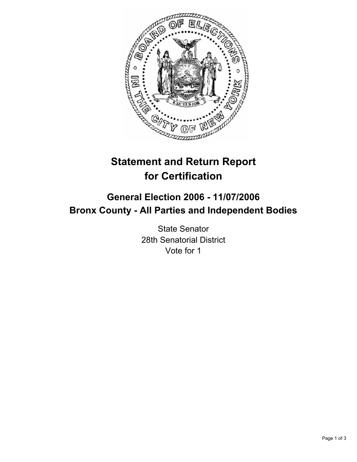

# **Statement and Return Report for Certification**

## **General Election 2006 - 11/07/2006 Bronx County - All Parties and Independent Bodies**

State Senator 28th Senatorial District Vote for 1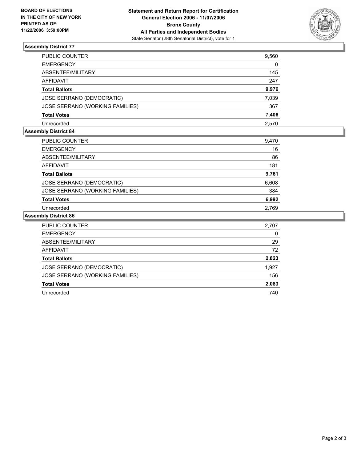

### **Assembly District 77**

| PUBLIC COUNTER                  | 9,560 |
|---------------------------------|-------|
| EMERGENCY                       | 0     |
| ABSENTEE/MILITARY               | 145   |
| AFFIDAVIT                       | 247   |
| Total Ballots                   | 9,976 |
| JOSE SERRANO (DEMOCRATIC)       | 7,039 |
| JOSE SERRANO (WORKING FAMILIES) | 367   |
| Total Votes                     | 7,406 |
| Unrecorded                      | 2,570 |

#### **Assembly District 84**

| <b>PUBLIC COUNTER</b>           | 9,470 |
|---------------------------------|-------|
| <b>EMERGENCY</b>                | 16    |
| ABSENTEE/MILITARY               | 86    |
| <b>AFFIDAVIT</b>                | 181   |
| <b>Total Ballots</b>            | 9,761 |
| JOSE SERRANO (DEMOCRATIC)       | 6,608 |
| JOSE SERRANO (WORKING FAMILIES) | 384   |
| <b>Total Votes</b>              | 6,992 |
| Unrecorded                      | 2.769 |

#### **Assembly District 86**

| PUBLIC COUNTER                  | 2,707 |
|---------------------------------|-------|
| <b>EMERGENCY</b>                | 0     |
| ABSENTEE/MILITARY               | 29    |
| AFFIDAVIT                       | 72    |
| <b>Total Ballots</b>            | 2,823 |
| JOSE SERRANO (DEMOCRATIC)       | 1,927 |
| JOSE SERRANO (WORKING FAMILIES) | 156   |
| <b>Total Votes</b>              | 2,083 |
| Unrecorded                      | 740   |